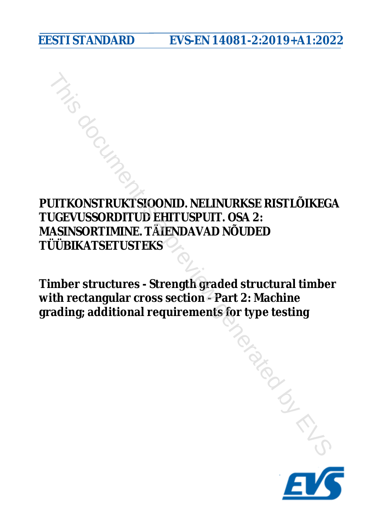**EESTI STANDARD EVS-EN 14081-2:2019+A1:2022**

**PUITKONSTRUKTSIOONID. NELINURKSE RISTLÕIKEGA TUGEVUSSORDITUD EHITUSPUIT. OSA 2: MASINSORTIMINE. TÄIENDAVAD NÕUDED TÜÜBIKATSETUSTEKS PUITKONSTRUKTSIOONID. NELINURKSE RISTLÕIKEGA<br>TUGEVUSSORDITUD EHITUSPUIT. OSA 2:<br>MASINSORTIMINE. TÄIENDAVAD NÕUDED<br>TÜÜBIKATSETUSTEKS<br>Timber structures - Strength graded structural timber<br>with rectangular cross section - Pa** 

**Timber structures - Strength graded structural timber with rectangular cross section - Part 2: Machine**

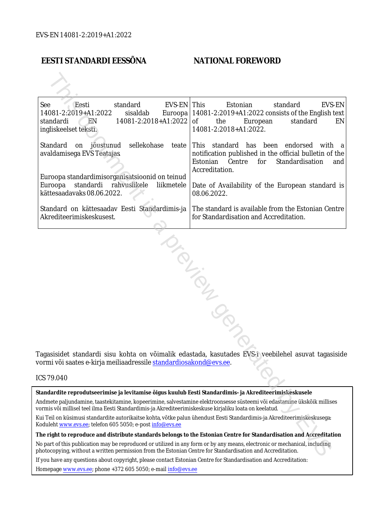#### **EESTI STANDARDI EESSÕNA NATIONAL FOREWORD**

| See<br>Eesti<br>standard<br>EVS-EN   This<br>14081-2:2019+A1:2022<br>sisaldab<br>$14081 - 2:2018 + A1:2022$ of<br>standardi<br>EN<br>ingliskeelset teksti.                                                                               | Estonian<br>EVS-EN<br>standard<br>Euroopa   14081-2:2019+A1:2022 consists of the English text<br>the<br>standard<br>European<br>EN<br>14081-2:2018+A1:2022.                  |  |  |  |
|------------------------------------------------------------------------------------------------------------------------------------------------------------------------------------------------------------------------------------------|------------------------------------------------------------------------------------------------------------------------------------------------------------------------------|--|--|--|
| sellekohase<br>  Standard<br>on jõustunud<br>teate<br>avaldamisega EVS Teatajas<br>Euroopa standardimisorganisatsioonid on teinud                                                                                                        | This standard has been endorsed<br>with a<br>notification published in the official bulletin of the<br>Estonian<br>Centre<br>for<br>Standardisation<br>and<br>Accreditation. |  |  |  |
| standardi<br>rahvuslikele<br>Euroopa<br>liikmetele<br>kättesaadavaks 08.06.2022.                                                                                                                                                         | Date of Availability of the European standard is<br>08.06.2022.                                                                                                              |  |  |  |
| Standard on kättesaadav Eesti Standardimis-ja<br>Akrediteerimiskeskusest.                                                                                                                                                                | The standard is available from the Estonian Centre<br>for Standardisation and Accreditation.                                                                                 |  |  |  |
| NIFON<br>Tagasisidet standardi sisu kohta on võimalik edastada, kasutades EVS-i veebilehel asuvat tagasiside<br>vormi või saates e-kirja meiliaadressile standardiosakond@evs.ee.                                                        |                                                                                                                                                                              |  |  |  |
| CS 79.040                                                                                                                                                                                                                                |                                                                                                                                                                              |  |  |  |
| Standardite reprodutseerimise ja levitamise õigus kuulub Eesti Standardimis- ja Akrediteerimiskeskusele                                                                                                                                  |                                                                                                                                                                              |  |  |  |
| Andmete paljundamine, taastekitamine, kopeerimine, salvestamine elektroonsesse süsteemi või edastamine ükskõik millises<br>vormis või millisel teel ilma Eesti Standardimis-ja Akrediteerimiskeskuse kirjaliku loata on keelatud.        |                                                                                                                                                                              |  |  |  |
| Kui Teil on küsimusi standardite autorikaitse kohta, võtke palun ühendust Eesti Standardimis-ja Akrediteerimiskeskusega:<br>Coduleht www.evs.ee; telefon 605 5050; e-post info@evs.ee                                                    |                                                                                                                                                                              |  |  |  |
|                                                                                                                                                                                                                                          | The right to reproduce and distribute standards belongs to the Estonian Centre for Standardisation and Accreditation                                                         |  |  |  |
| Vo part of this publication may be reproduced or utilized in any form or by any means, electronic or mechanical, including<br>bhotocopying, without a written permission from the Estonian Centre for Standardisation and Accreditation. |                                                                                                                                                                              |  |  |  |

#### ICS 79.040

If you have any questions about copyright, please contact Estonian Centre for Standardisation and Accreditation:

Homepage [www.evs.ee](http://www.evs.ee/); phone +372 605 5050; e-mail info@evs.ee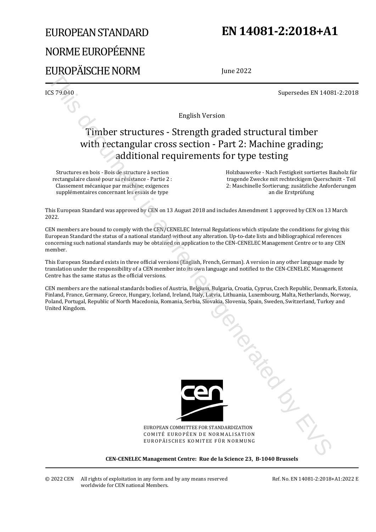# EUROPEAN STANDARD NORME EUROPÉENNE EUROPÄISCHE NORM

## **EN 14081-2:2018+A1**

June 2022

ICS 79.040 Supersedes EN 14081-2:2018

English Version

# Timber structures - Strength graded structural timber with rectangular cross section - Part 2: Machine grading; additional requirements for type testing Except Contact the New York Contact the Contact the Contact the Contact the Contact the Contact the Contact the Contact the Contact the Contact the Contact the Contact the Contact the Contact the Contact the Contact the C

Structures en bois - Bois de structure à section rectangulaire classé pour sa résistance - Partie 2 : Classement mécanique par machine; exigences supplémentaires concernant les essais de type

 Holzbauwerke - Nach Festigkeit sortiertes Bauholz für tragende Zwecke mit rechteckigem Querschnitt - Teil 2: Maschinelle Sortierung; zusätzliche Anforderungen an die Erstprüfung

This European Standard was approved by CEN on 13 August 2018 and includes Amendment 1 approved by CEN on 13 March 2022.

CEN members are bound to comply with the CEN/CENELEC Internal Regulations which stipulate the conditions for giving this European Standard the status of a national standard without any alteration. Up-to-date lists and bibliographical references concerning such national standards may be obtained on application to the CEN-CENELEC Management Centre or to any CEN member.

This European Standard exists in three official versions (English, French, German). A version in any other language made by translation under the responsibility of a CEN member into its own language and notified to the CEN-CENELEC Management Centre has the same status as the official versions.

CEN members are the national standards bodies of Austria, Belgium, Bulgaria, Croatia, Cyprus, Czech Republic, Denmark, Estonia, Finland, France, Germany, Greece, Hungary, Iceland, Ireland, Italy, Latvia, Lithuania, Luxembourg, Malta, Netherlands, Norway, Poland, Portugal, Republic of North Macedonia, Romania, Serbia, Slovakia, Slovenia, Spain, Sweden, Switzerland, Turkey and United Kingdom.



EUROPEAN COMMITTEE FOR STANDARDIZATION COMITÉ EUROPÉEN DE NORMALISATION EUROPÄISCHES KOMITEE FÜR NORMUNG

**CEN-CENELEC Management Centre: Rue de la Science 23, B-1040 Brussels** 

© 2022 CEN All rights of exploitation in any form and by any means reserved worldwide for CEN national Members.

Ref. No. EN 14081-2:2018+A1:2022 E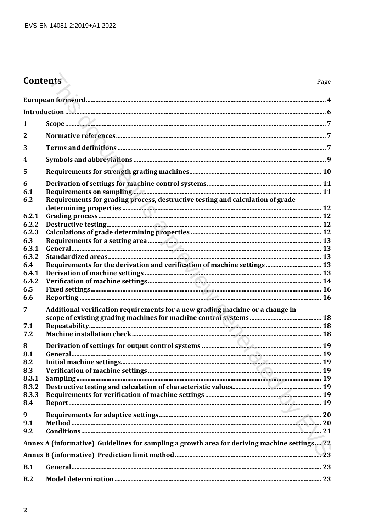# Contents

| 1               |                                                                                              |  |
|-----------------|----------------------------------------------------------------------------------------------|--|
| $\overline{2}$  |                                                                                              |  |
| 3               |                                                                                              |  |
| 4               |                                                                                              |  |
| 5               |                                                                                              |  |
| 6<br>6.1<br>6.2 |                                                                                              |  |
|                 | Requirements for grading process, destructive testing and calculation of grade               |  |
| 6.2.1           |                                                                                              |  |
| 6.2.2<br>6.2.3  |                                                                                              |  |
| 6.3             |                                                                                              |  |
| 6,3.1           |                                                                                              |  |
| 6.3.2           |                                                                                              |  |
| 6.4<br>6.4.1    |                                                                                              |  |
| 6.4.2           |                                                                                              |  |
| 6.5             |                                                                                              |  |
| 6.6             |                                                                                              |  |
| 7               | Additional verification requirements for a new grading machine or a change in                |  |
| 7.1             |                                                                                              |  |
| 7.2             |                                                                                              |  |
| 8               |                                                                                              |  |
| 8.1             |                                                                                              |  |
| 8.2             |                                                                                              |  |
| 8.3             |                                                                                              |  |
| 8.3.2           |                                                                                              |  |
| 8.3.3           |                                                                                              |  |
| 8.4             |                                                                                              |  |
| 9               |                                                                                              |  |
| 9.1<br>9.2      |                                                                                              |  |
|                 | Annex A (informative) Guidelines for sampling a growth area for deriving machine settings 22 |  |
|                 |                                                                                              |  |
|                 |                                                                                              |  |
| B.1             |                                                                                              |  |
| B.2             |                                                                                              |  |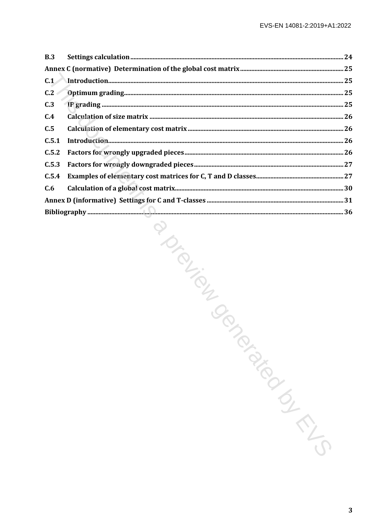| B.3   |                        |  |
|-------|------------------------|--|
|       |                        |  |
| C.1   |                        |  |
| C.2   |                        |  |
| C.3   |                        |  |
| C.4   |                        |  |
| C.5   |                        |  |
| C.5.1 |                        |  |
| C.5.2 |                        |  |
| C.5.3 |                        |  |
| C.5.4 |                        |  |
| C.6   |                        |  |
|       |                        |  |
|       |                        |  |
|       | PIONEWS<br>Parazionial |  |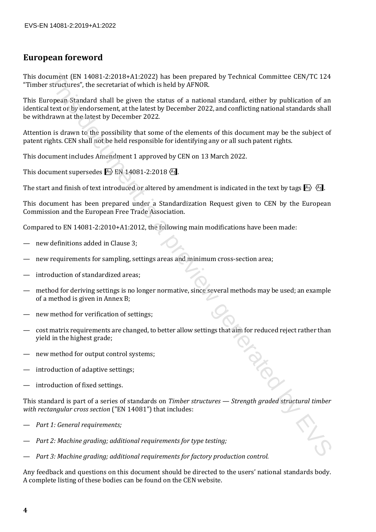#### **European foreword**

This document (EN 14081-2:2018+A1:2022) has been prepared by Technical Committee CEN/TC 124 "Timber structures", the secretariat of which is held by AFNOR.

This European Standard shall be given the status of a national standard, either by publication of an identical text or by endorsement, at the latest by December 2022, and conflicting national standards shall be withdrawn at the latest by December 2022. summent (RN 14081-222018-RA-12022) as been prepared by Technical Committee CFN/TC 124<br>structures', the secretariat of which is held by APNOR.<br>The present Standard shall be given the status of a rational standard, either b

Attention is drawn to the possibility that some of the elements of this document may be the subject of patent rights. CEN shall not be held responsible for identifying any or all such patent rights.

This document includes Amendment 1 approved by CEN on 13 March 2022.

This document supersedes  $\overline{A_1}$  EN 14081-2:2018 $\overline{A_1}$ .

The start and finish of text introduced or altered by amendment is indicated in the text by tags  $\mathbb{F}_1$ .

This document has been prepared under a Standardization Request given to CEN by the European Commission and the European Free Trade Association.

Compared to EN 14081-2:2010+A1:2012, the following main modifications have been made:

- new definitions added in Clause 3:
- new requirements for sampling, settings areas and minimum cross-section area;
- introduction of standardized areas:
- method for deriving settings is no longer normative, since several methods may be used; an example of a method is given in Annex B;
- new method for verification of settings;
- cost matrix requirements are changed, to better allow settings that aim for reduced reject rather than yield in the highest grade;
- new method for output control systems;
- introduction of adaptive settings;
- introduction of fixed settings.

This standard is part of a series of standards on *Timber structures — Strength graded structural timber with rectangular cross section* ("EN 14081") that includes:

- *Part 1: General requirements;*
- *Part 2: Machine grading; additional requirements for type testing;*
- *Part 3: Machine grading; additional requirements for factory production control.*

Any feedback and questions on this document should be directed to the users' national standards body. A complete listing of these bodies can be found on the CEN website.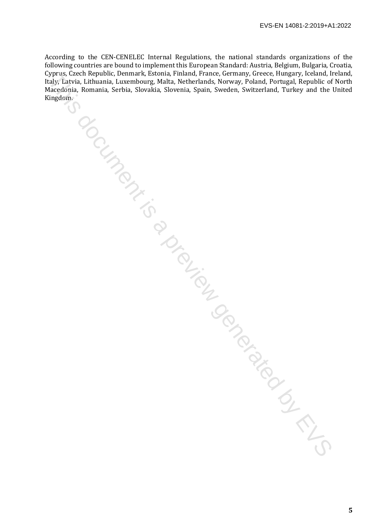According to the CEN-CENELEC Internal Regulations, the national standards organizations of the following countries are bound to implement this European Standard: Austria, Belgium, Bulgaria, Croatia, Cyprus, Czech Republic, Denmark, Estonia, Finland, France, Germany, Greece, Hungary, Iceland, Ireland, Italy, Latvia, Lithuania, Luxembourg, Malta, Netherlands, Norway, Poland, Portugal, Republic of North Macedonia, Romania, Serbia, Slovakia, Slovenia, Spain, Sweden, Switzerland, Turkey and the United Kingdom. The Richard Librarian, Librarian, Prince, Dennis, Prince, Generated By Europe, Italian, Prince, Beland, Republic of the Richard Librarian, Serbito, Storakta, Storenta, Spath, Sweden, Sweden, Sweden, Prince, Prince, Prince,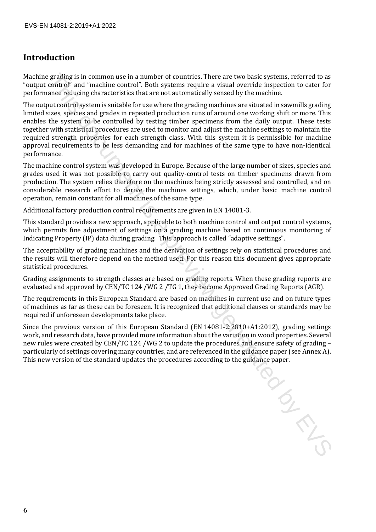### **Introduction**

Machine grading is in common use in a number of countries. There are two basic systems, referred to as "output control" and "machine control". Both systems require a visual override inspection to cater for performance reducing characteristics that are not automatically sensed by the machine.

The output control system is suitable for use where the grading machines are situated in sawmills grading limited sizes, species and grades in repeated production runs of around one working shift or more. This enables the system to be controlled by testing timber specimens from the daily output. These tests together with statistical procedures are used to monitor and adjust the machine settings to maintain the required strength properties for each strength class. With this system it is permissible for machine approval requirements to be less demanding and for machines of the same type to have non-identical performance. proding its in common us in a number of countries. There are two basis experent, relations that control to a previous control to a previous control to a previous control to a previous control to the most control to the con

The machine control system was developed in Europe. Because of the large number of sizes, species and grades used it was not possible to carry out quality-control tests on timber specimens drawn from production. The system relies therefore on the machines being strictly assessed and controlled, and on considerable research effort to derive the machines settings, which, under basic machine control operation, remain constant for all machines of the same type.

Additional factory production control requirements are given in EN 14081-3.

This standard provides a new approach, applicable to both machine control and output control systems, which permits fine adjustment of settings on a grading machine based on continuous monitoring of Indicating Property (IP) data during grading. This approach is called "adaptive settings".

The acceptability of grading machines and the derivation of settings rely on statistical procedures and the results will therefore depend on the method used. For this reason this document gives appropriate statistical procedures.

Grading assignments to strength classes are based on grading reports. When these grading reports are evaluated and approved by CEN/TC 124 /WG 2 /TG 1, they become Approved Grading Reports (AGR).

The requirements in this European Standard are based on machines in current use and on future types of machines as far as these can be foreseen. It is recognized that additional clauses or standards may be required if unforeseen developments take place.

Since the previous version of this European Standard (EN 14081-2:2010+A1:2012), grading settings work, and research data, have provided more information about the variation in wood properties. Several new rules were created by CEN/TC 124 /WG 2 to update the procedures and ensure safety of grading – particularly of settings covering many countries, and are referenced in the guidance paper (see Annex A). This new version of the standard updates the procedures according to the guidance paper.

**6**